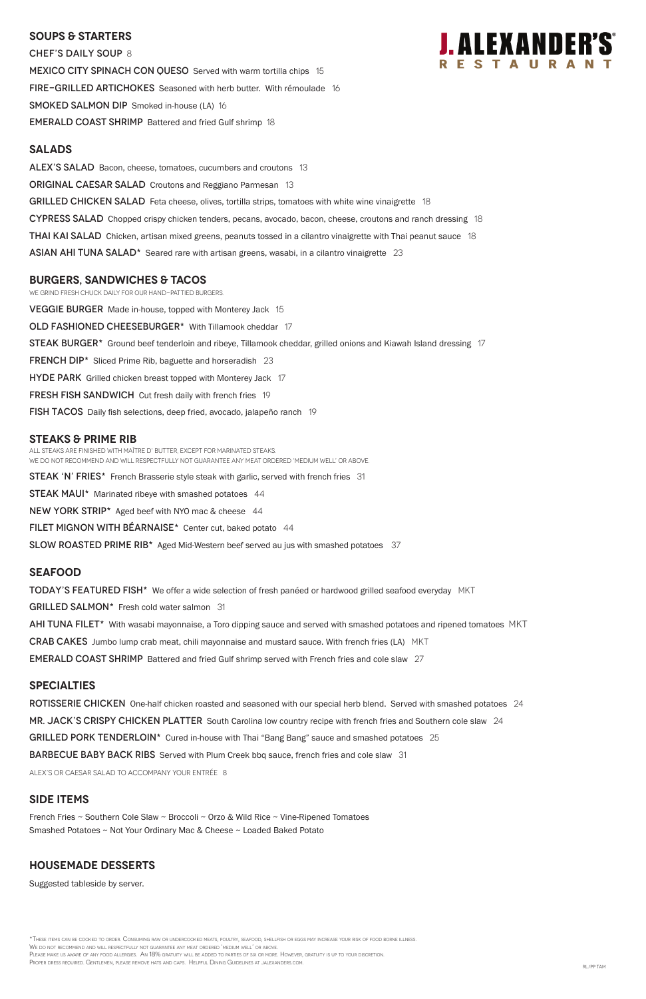### **SOUPS & Starters**

CHEF'S DAILY SOUP 8 MEXICO CITY SPINACH CON QUESO Served with warm tortilla chips 15 FIRE-GRILLED ARTICHOKES Seasoned with herb butter. With rémoulade 16 **SMOKED SALMON DIP** Smoked in-house (LA) 16 EMERALD COAST SHRIMP Battered and fried Gulf shrimp 18

#### **Salads**

ALEX'S SALAD Bacon, cheese, tomatoes, cucumbers and croutons 13 **ORIGINAL CAESAR SALAD** Croutons and Reggiano Parmesan 13 GRILLED CHICKEN SALAD Feta cheese, olives, tortilla strips, tomatoes with white wine vinaigrette 18 CYPRESS SALAD Chopped crispy chicken tenders, pecans, avocado, bacon, cheese, croutons and ranch dressing 18 **THAI KAI SALAD** Chicken, artisan mixed greens, peanuts tossed in a cilantro vinaigrette with Thai peanut sauce 18 ASIAN AHI TUNA SALAD $*$  Seared rare with artisan greens, wasabi, in a cilantro vinaigrette 23

### **burgers, Sandwiches & tacos**

We grind fresh chuck daily for our hand-pattied burgers. **VEGGIE BURGER** Made in-house, topped with Monterey Jack 15 OLD FASHIONED CHEESEBURGER\* With Tillamook cheddar 17 STEAK BURGER<sup>\*</sup> Ground beef tenderloin and ribeye, Tillamook cheddar, grilled onions and Kiawah Island dressing 17 FRENCH DIP<sup>\*</sup> Sliced Prime Rib, baguette and horseradish 23 HYDE PARK Grilled chicken breast topped with Monterey Jack 17 **FRESH FISH SANDWICH** Cut fresh daily with french fries 19 fish TACOS Daily fish selections, deep fried, avocado, jalapeño ranch 19 **STEAKS & Prime Rib** 

All steaks are finished with Maître d' butter, except for marinated steaks. We do not recommend and will respectfully not guarantee any meat ordered 'medium well' or above.

**STEAK 'N' FRIES\*** French Brasserie style steak with garlic, served with french fries 31

**STEAK MAUI\*** Marinated ribeye with smashed potatoes 44

NEW YORK STRIP\* Aged beef with NYO mac & cheese 44

FILET MIGNON WITH BÉARNAISE\* Center cut, baked potato 44

SLOW ROASTED PRIME RIB<sup>\*</sup> Aged Mid-Western beef served au jus with smashed potatoes 37

\*These items can be cooked to order. Consuming raw or undercooked meats, poultry, seafood, shellfish or eggs may increase your risk of food borne illness. We do not recommend and will respectfully not guarantee any meat ordered 'medium well' or above. Please make us aware of any food allergies. An 18% gratuity will be added to parties of six or more. However, gratuity is up to your discretion. Proper dress required. Gentlemen, please remove hats and caps. Helpful Dining Guidelines at jalexanders.com. RL/PP TAM

#### **Seafood**

**TODAY'S FEATURED FISH\*** We offer a wide selection of fresh panéed or hardwood grilled seafood everyday MKT GRILLED SALMON\* Fresh cold water salmon 31 AHI TUNA FILET<sup>\*</sup> With wasabi mayonnaise, a Toro dipping sauce and served with smashed potatoes and ripened tomatoes MKT **CRAB CAKES** Jumbo lump crab meat, chili mayonnaise and mustard sauce. With french fries (LA) MKT **EMERALD COAST SHRIMP** Battered and fried Gulf shrimp served with French fries and cole slaw 27

#### **specialties**

ROTISSERIE CHICKEN One-half chicken roasted and seasoned with our special herb blend. Served with smashed potatoes 24 MR. JACK'S CRISPY CHICKEN PLATTER South Carolina low country recipe with french fries and Southern cole slaw 24



GRILLED PORK TENDERLOIN\* Cured in-house with Thai "Bang Bang" sauce and smashed potatoes 25

**BARBECUE BABY BACK RIBS** Served with Plum Creek bbq sauce, french fries and cole slaw 31

ALEX's or Caesar salad to accompany your entrée 8

## **SIDE ITEMS**

French Fries ~ Southern Cole Slaw ~ Broccoli ~ Orzo & Wild Rice ~ Vine-Ripened Tomatoes Smashed Potatoes ~ Not Your Ordinary Mac & Cheese ~ Loaded Baked Potato

### **Housemade DESSERTS**

Suggested tableside by server.